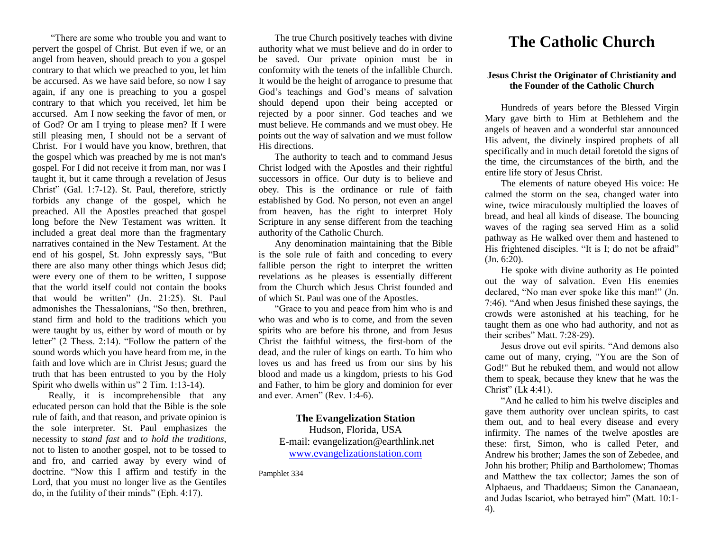"There are some who trouble you and want to pervert the gospel of Christ. But even if we, or an angel from heaven, should preach to you a gospel contrary to that which we preached to you, let him be accursed. As we have said before, so now I say again, if any one is preaching to you a gospel contrary to that which you received, let him be accursed. Am I now seeking the favor of men, or of God? Or am I trying to please men? If I were still pleasing men, I should not be a servant of Christ. For I would have you know, brethren, that the gospel which was preached by me is not man's gospel. For I did not receive it from man, nor was I taught it, but it came through a revelation of Jesus Christ" (Gal. 1:7-12). St. Paul, therefore, strictly forbids any change of the gospel, which he preached. All the Apostles preached that gospel long before the New Testament was written. It included a great deal more than the fragmentary narratives contained in the New Testament. At the end of his gospel, St. John expressly says, "But there are also many other things which Jesus did; were every one of them to be written, I suppose that the world itself could not contain the books that would be written" (Jn. 21:25). St. Paul admonishes the Thessalonians, "So then, brethren, stand firm and hold to the traditions which you were taught by us, either by word of mouth or by letter" (2 Thess. 2:14). "Follow the pattern of the sound words which you have heard from me, in the faith and love which are in Christ Jesus; guard the truth that has been entrusted to you by the Holy Spirit who dwells within us" 2 Tim. 1:13-14).

Really, it is incomprehensible that any educated person can hold that the Bible is the sole rule of faith, and that reason, and private opinion is the sole interpreter. St. Paul emphasizes the necessity to *stand fast* and *to hold the traditions*, not to listen to another gospel, not to be tossed to and fro, and carried away by every wind of doctrine. "Now this I affirm and testify in the Lord, that you must no longer live as the Gentiles do, in the futility of their minds" (Eph. 4:17).

The true Church positively teaches with divine authority what we must believe and do in order to be saved. Our private opinion must be in conformity with the tenets of the infallible Church. It would be the height of arrogance to presume that God's teachings and God's means of salvation should depend upon their being accepted or rejected by a poor sinner. God teaches and we must believe. He commands and we must obey. He points out the way of salvation and we must follow His directions.

The authority to teach and to command Jesus Christ lodged with the Apostles and their rightful successors in office. Our duty is to believe and obey. This is the ordinance or rule of faith established by God. No person, not even an angel from heaven, has the right to interpret Holy Scripture in any sense different from the teaching authority of the Catholic Church.

Any denomination maintaining that the Bible is the sole rule of faith and conceding to every fallible person the right to interpret the written revelations as he pleases is essentially different from the Church which Jesus Christ founded and of which St. Paul was one of the Apostles.

"Grace to you and peace from him who is and who was and who is to come, and from the seven spirits who are before his throne, and from Jesus Christ the faithful witness, the first-born of the dead, and the ruler of kings on earth. To him who loves us and has freed us from our sins by his blood and made us a kingdom, priests to his God and Father, to him be glory and dominion for ever and ever. Amen" (Rev. 1:4-6).

## **The Evangelization Station** Hudson, Florida, USA E-mail: evangelization@earthlink.net [www.evangelizationstation.com](http://www.pjpiisoe.org/)

Pamphlet 334

## **The Catholic Church**

## **Jesus Christ the Originator of Christianity and the Founder of the Catholic Church**

Hundreds of years before the Blessed Virgin Mary gave birth to Him at Bethlehem and the angels of heaven and a wonderful star announced His advent, the divinely inspired prophets of all specifically and in much detail foretold the signs of the time, the circumstances of the birth, and the entire life story of Jesus Christ.

The elements of nature obeyed His voice: He calmed the storm on the sea, changed water into wine, twice miraculously multiplied the loaves of bread, and heal all kinds of disease. The bouncing waves of the raging sea served Him as a solid pathway as He walked over them and hastened to His frightened disciples. "It is I; do not be afraid" (Jn. 6:20).

He spoke with divine authority as He pointed out the way of salvation. Even His enemies declared, "No man ever spoke like this man!" (Jn. 7:46). "And when Jesus finished these sayings, the crowds were astonished at his teaching, for he taught them as one who had authority, and not as their scribes" Matt. 7:28-29).

Jesus drove out evil spirits. "And demons also came out of many, crying, "You are the Son of God!" But he rebuked them, and would not allow them to speak, because they knew that he was the Christ" (Lk 4:41).

"And he called to him his twelve disciples and gave them authority over unclean spirits, to cast them out, and to heal every disease and every infirmity. The names of the twelve apostles are these: first, Simon, who is called Peter, and Andrew his brother; James the son of Zebedee, and John his brother; Philip and Bartholomew; Thomas and Matthew the tax collector; James the son of Alphaeus, and Thaddaeus; Simon the Cananaean, and Judas Iscariot, who betrayed him" (Matt. 10:1- 4).